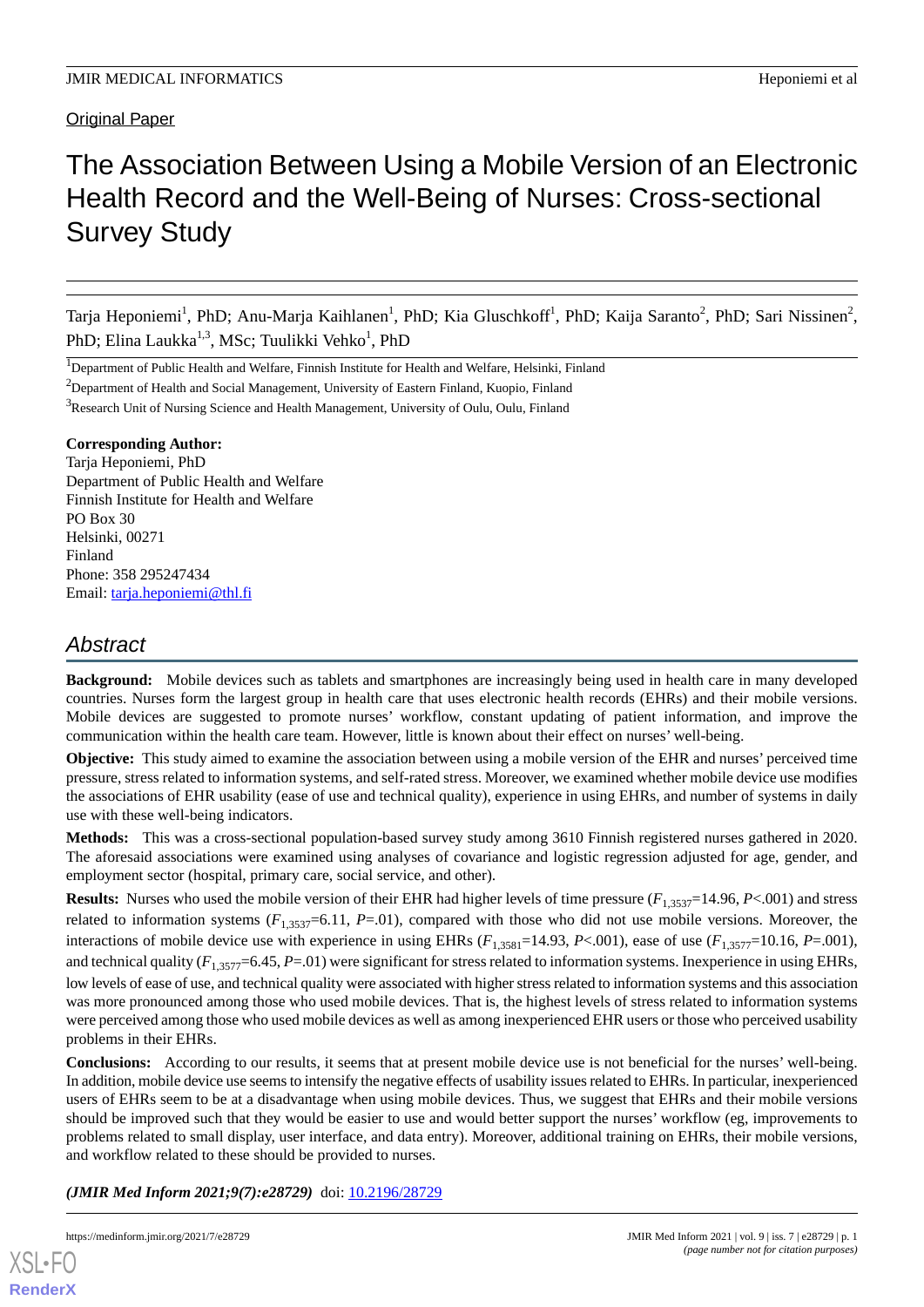## Original Paper

# The Association Between Using a Mobile Version of an Electronic Health Record and the Well-Being of Nurses: Cross-sectional Survey Study

Tarja Heponiemi<sup>1</sup>, PhD; Anu-Marja Kaihlanen<sup>1</sup>, PhD; Kia Gluschkoff<sup>1</sup>, PhD; Kaija Saranto<sup>2</sup>, PhD; Sari Nissinen<sup>2</sup>, PhD; Elina Laukka<sup>1,3</sup>, MSc; Tuulikki Vehko<sup>1</sup>, PhD

<sup>1</sup>Department of Public Health and Welfare, Finnish Institute for Health and Welfare, Helsinki, Finland

<sup>2</sup>Department of Health and Social Management, University of Eastern Finland, Kuopio, Finland

<sup>3</sup>Research Unit of Nursing Science and Health Management, University of Oulu, Oulu, Finland

#### **Corresponding Author:**

Tarja Heponiemi, PhD Department of Public Health and Welfare Finnish Institute for Health and Welfare PO Box 30 Helsinki, 00271 Finland Phone: 358 295247434 Email: [tarja.heponiemi@thl.fi](mailto:tarja.heponiemi@thl.fi)

## *Abstract*

**Background:** Mobile devices such as tablets and smartphones are increasingly being used in health care in many developed countries. Nurses form the largest group in health care that uses electronic health records (EHRs) and their mobile versions. Mobile devices are suggested to promote nurses' workflow, constant updating of patient information, and improve the communication within the health care team. However, little is known about their effect on nurses' well-being.

**Objective:** This study aimed to examine the association between using a mobile version of the EHR and nurses' perceived time pressure, stress related to information systems, and self-rated stress. Moreover, we examined whether mobile device use modifies the associations of EHR usability (ease of use and technical quality), experience in using EHRs, and number of systems in daily use with these well-being indicators.

**Methods:** This was a cross-sectional population-based survey study among 3610 Finnish registered nurses gathered in 2020. The aforesaid associations were examined using analyses of covariance and logistic regression adjusted for age, gender, and employment sector (hospital, primary care, social service, and other).

**Results:** Nurses who used the mobile version of their EHR had higher levels of time pressure ( $F_{1,3537}=14.96$ ,  $P<.001$ ) and stress related to information systems  $(F_{1,3537}=6.11, P=0.01)$ , compared with those who did not use mobile versions. Moreover, the interactions of mobile device use with experience in using EHRs  $(F_{1,3581}=14.93, P<.001)$ , ease of use  $(F_{1,3577}=10.16, P=.001)$ , and technical quality  $(F_{1,3577}=6.45, P=0.01)$  were significant for stress related to information systems. Inexperience in using EHRs, low levels of ease of use, and technical quality were associated with higher stress related to information systems and this association was more pronounced among those who used mobile devices. That is, the highest levels of stress related to information systems were perceived among those who used mobile devices as well as among inexperienced EHR users or those who perceived usability problems in their EHRs.

**Conclusions:** According to our results, it seems that at present mobile device use is not beneficial for the nurses' well-being. In addition, mobile device use seems to intensify the negative effects of usability issues related to EHRs. In particular, inexperienced users of EHRs seem to be at a disadvantage when using mobile devices. Thus, we suggest that EHRs and their mobile versions should be improved such that they would be easier to use and would better support the nurses' workflow (eg, improvements to problems related to small display, user interface, and data entry). Moreover, additional training on EHRs, their mobile versions, and workflow related to these should be provided to nurses.

(JMIR Med Inform 2021;9(7):e28729) doi: [10.2196/28729](http://dx.doi.org/10.2196/28729)



[XSL](http://www.w3.org/Style/XSL)•FO **[RenderX](http://www.renderx.com/)**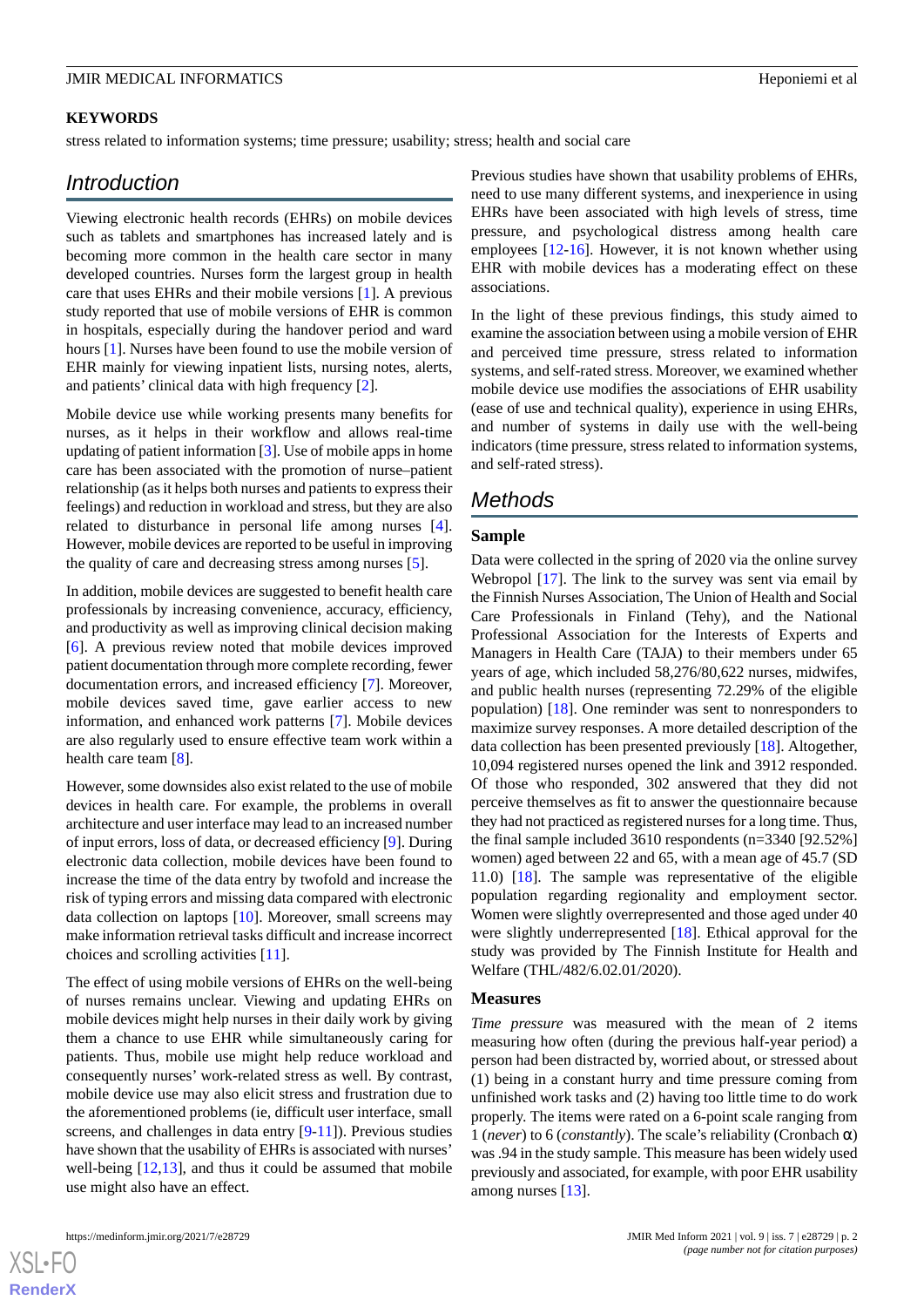#### **KEYWORDS**

stress related to information systems; time pressure; usability; stress; health and social care

## *Introduction*

Viewing electronic health records (EHRs) on mobile devices such as tablets and smartphones has increased lately and is becoming more common in the health care sector in many developed countries. Nurses form the largest group in health care that uses EHRs and their mobile versions [[1\]](#page-7-0). A previous study reported that use of mobile versions of EHR is common in hospitals, especially during the handover period and ward hours [\[1](#page-7-0)]. Nurses have been found to use the mobile version of EHR mainly for viewing inpatient lists, nursing notes, alerts, and patients' clinical data with high frequency [[2\]](#page-8-0).

Mobile device use while working presents many benefits for nurses, as it helps in their workflow and allows real-time updating of patient information [\[3](#page-8-1)]. Use of mobile apps in home care has been associated with the promotion of nurse–patient relationship (as it helps both nurses and patients to express their feelings) and reduction in workload and stress, but they are also related to disturbance in personal life among nurses [[4\]](#page-8-2). However, mobile devices are reported to be useful in improving the quality of care and decreasing stress among nurses [[5](#page-8-3)].

In addition, mobile devices are suggested to benefit health care professionals by increasing convenience, accuracy, efficiency, and productivity as well as improving clinical decision making [[6\]](#page-8-4). A previous review noted that mobile devices improved patient documentation through more complete recording, fewer documentation errors, and increased efficiency [[7\]](#page-8-5). Moreover, mobile devices saved time, gave earlier access to new information, and enhanced work patterns [[7\]](#page-8-5). Mobile devices are also regularly used to ensure effective team work within a health care team [[8\]](#page-8-6).

However, some downsides also exist related to the use of mobile devices in health care. For example, the problems in overall architecture and user interface may lead to an increased number of input errors, loss of data, or decreased efficiency [\[9](#page-8-7)]. During electronic data collection, mobile devices have been found to increase the time of the data entry by twofold and increase the risk of typing errors and missing data compared with electronic data collection on laptops [[10\]](#page-8-8). Moreover, small screens may make information retrieval tasks difficult and increase incorrect choices and scrolling activities [\[11](#page-8-9)].

The effect of using mobile versions of EHRs on the well-being of nurses remains unclear. Viewing and updating EHRs on mobile devices might help nurses in their daily work by giving them a chance to use EHR while simultaneously caring for patients. Thus, mobile use might help reduce workload and consequently nurses' work-related stress as well. By contrast, mobile device use may also elicit stress and frustration due to the aforementioned problems (ie, difficult user interface, small screens, and challenges in data entry [\[9](#page-8-7)[-11](#page-8-9)]). Previous studies have shown that the usability of EHRs is associated with nurses' well-being [[12](#page-8-10)[,13](#page-8-11)], and thus it could be assumed that mobile use might also have an effect.

 $XS$  • FO **[RenderX](http://www.renderx.com/)** Previous studies have shown that usability problems of EHRs, need to use many different systems, and inexperience in using EHRs have been associated with high levels of stress, time pressure, and psychological distress among health care employees [\[12](#page-8-10)-[16\]](#page-8-12). However, it is not known whether using EHR with mobile devices has a moderating effect on these associations.

In the light of these previous findings, this study aimed to examine the association between using a mobile version of EHR and perceived time pressure, stress related to information systems, and self-rated stress. Moreover, we examined whether mobile device use modifies the associations of EHR usability (ease of use and technical quality), experience in using EHRs, and number of systems in daily use with the well-being indicators (time pressure, stress related to information systems, and self-rated stress).

## *Methods*

#### **Sample**

Data were collected in the spring of 2020 via the online survey Webropol [[17\]](#page-8-13). The link to the survey was sent via email by the Finnish Nurses Association, The Union of Health and Social Care Professionals in Finland (Tehy), and the National Professional Association for the Interests of Experts and Managers in Health Care (TAJA) to their members under 65 years of age, which included 58,276/80,622 nurses, midwifes, and public health nurses (representing 72.29% of the eligible population) [\[18](#page-8-14)]. One reminder was sent to nonresponders to maximize survey responses. A more detailed description of the data collection has been presented previously [[18\]](#page-8-14). Altogether, 10,094 registered nurses opened the link and 3912 responded. Of those who responded, 302 answered that they did not perceive themselves as fit to answer the questionnaire because they had not practiced as registered nurses for a long time. Thus, the final sample included 3610 respondents (n=3340 [92.52%] women) aged between 22 and 65, with a mean age of 45.7 (SD 11.0) [\[18](#page-8-14)]. The sample was representative of the eligible population regarding regionality and employment sector. Women were slightly overrepresented and those aged under 40 were slightly underrepresented [[18\]](#page-8-14). Ethical approval for the study was provided by The Finnish Institute for Health and Welfare (THL/482/6.02.01/2020).

#### **Measures**

*Time pressure* was measured with the mean of 2 items measuring how often (during the previous half-year period) a person had been distracted by, worried about, or stressed about (1) being in a constant hurry and time pressure coming from unfinished work tasks and (2) having too little time to do work properly. The items were rated on a 6-point scale ranging from 1 (*never*) to 6 (*constantly*). The scale's reliability (Cronbach α) was .94 in the study sample. This measure has been widely used previously and associated, for example, with poor EHR usability among nurses [[13\]](#page-8-11).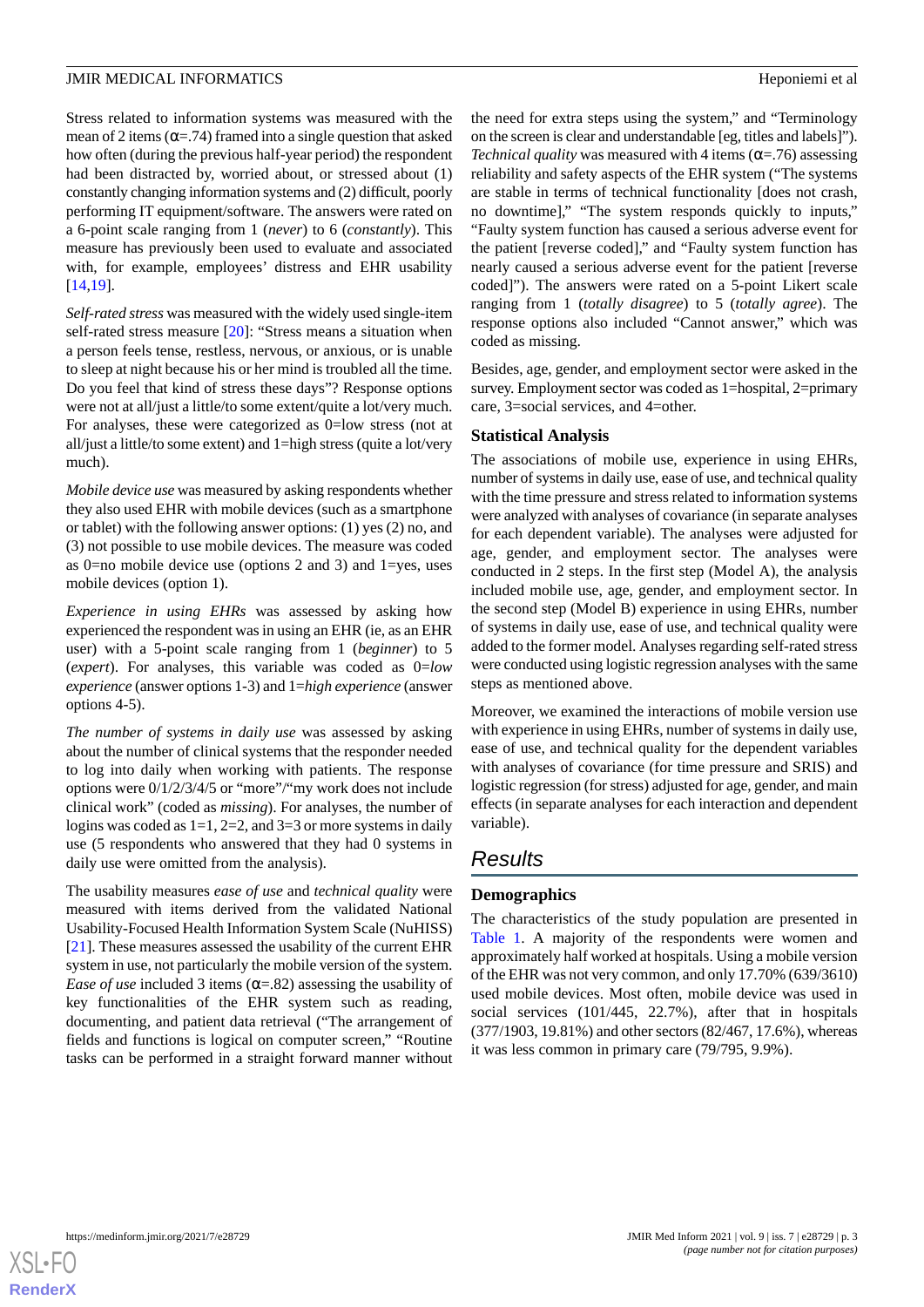Stress related to information systems was measured with the mean of 2 items ( $\alpha$ =.74) framed into a single question that asked how often (during the previous half-year period) the respondent had been distracted by, worried about, or stressed about (1) constantly changing information systems and (2) difficult, poorly performing IT equipment/software. The answers were rated on a 6-point scale ranging from 1 (*never*) to 6 (*constantly*). This measure has previously been used to evaluate and associated with, for example, employees' distress and EHR usability [[14](#page-8-15)[,19](#page-8-16)].

*Self-rated stress* was measured with the widely used single-item self-rated stress measure [\[20](#page-8-17)]: "Stress means a situation when a person feels tense, restless, nervous, or anxious, or is unable to sleep at night because his or her mind is troubled all the time. Do you feel that kind of stress these days"? Response options were not at all/just a little/to some extent/quite a lot/very much. For analyses, these were categorized as 0=low stress (not at all/just a little/to some extent) and 1=high stress (quite a lot/very much).

*Mobile device use* was measured by asking respondents whether they also used EHR with mobile devices (such as a smartphone or tablet) with the following answer options: (1) yes (2) no, and (3) not possible to use mobile devices. The measure was coded as 0=no mobile device use (options 2 and 3) and 1=yes, uses mobile devices (option 1).

*Experience in using EHRs* was assessed by asking how experienced the respondent was in using an EHR (ie, as an EHR user) with a 5-point scale ranging from 1 (*beginner*) to 5 (*expert*). For analyses, this variable was coded as 0=*low experience* (answer options 1-3) and 1=*high experience* (answer options 4-5).

*The number of systems in daily use* was assessed by asking about the number of clinical systems that the responder needed to log into daily when working with patients. The response options were 0/1/2/3/4/5 or "more"/"my work does not include clinical work" (coded as *missing*). For analyses, the number of logins was coded as  $1=1$ ,  $2=2$ , and  $3=3$  or more systems in daily use (5 respondents who answered that they had 0 systems in daily use were omitted from the analysis).

The usability measures *ease of use* and *technical quality* were measured with items derived from the validated National Usability-Focused Health Information System Scale (NuHISS) [[21\]](#page-8-18). These measures assessed the usability of the current EHR system in use, not particularly the mobile version of the system. *Ease of use* included 3 items  $(\alpha = .82)$  assessing the usability of key functionalities of the EHR system such as reading, documenting, and patient data retrieval ("The arrangement of fields and functions is logical on computer screen," "Routine tasks can be performed in a straight forward manner without

the need for extra steps using the system," and "Terminology on the screen is clear and understandable [eg, titles and labels]"). *Technical quality* was measured with 4 items ( $\alpha$ =.76) assessing reliability and safety aspects of the EHR system ("The systems are stable in terms of technical functionality [does not crash, no downtime]," "The system responds quickly to inputs," "Faulty system function has caused a serious adverse event for the patient [reverse coded]," and "Faulty system function has nearly caused a serious adverse event for the patient [reverse coded]"). The answers were rated on a 5-point Likert scale ranging from 1 (*totally disagree*) to 5 (*totally agree*). The response options also included "Cannot answer," which was coded as missing.

Besides, age, gender, and employment sector were asked in the survey. Employment sector was coded as 1=hospital, 2=primary care, 3=social services, and 4=other.

#### **Statistical Analysis**

The associations of mobile use, experience in using EHRs, number of systems in daily use, ease of use, and technical quality with the time pressure and stress related to information systems were analyzed with analyses of covariance (in separate analyses for each dependent variable). The analyses were adjusted for age, gender, and employment sector. The analyses were conducted in 2 steps. In the first step (Model A), the analysis included mobile use, age, gender, and employment sector. In the second step (Model B) experience in using EHRs, number of systems in daily use, ease of use, and technical quality were added to the former model. Analyses regarding self-rated stress were conducted using logistic regression analyses with the same steps as mentioned above.

Moreover, we examined the interactions of mobile version use with experience in using EHRs, number of systems in daily use, ease of use, and technical quality for the dependent variables with analyses of covariance (for time pressure and SRIS) and logistic regression (for stress) adjusted for age, gender, and main effects (in separate analyses for each interaction and dependent variable).

## *Results*

### **Demographics**

The characteristics of the study population are presented in [Table 1.](#page-3-0) A majority of the respondents were women and approximately half worked at hospitals. Using a mobile version of the EHR was not very common, and only 17.70% (639/3610) used mobile devices. Most often, mobile device was used in social services (101/445, 22.7%), after that in hospitals (377/1903, 19.81%) and other sectors (82/467, 17.6%), whereas it was less common in primary care (79/795, 9.9%).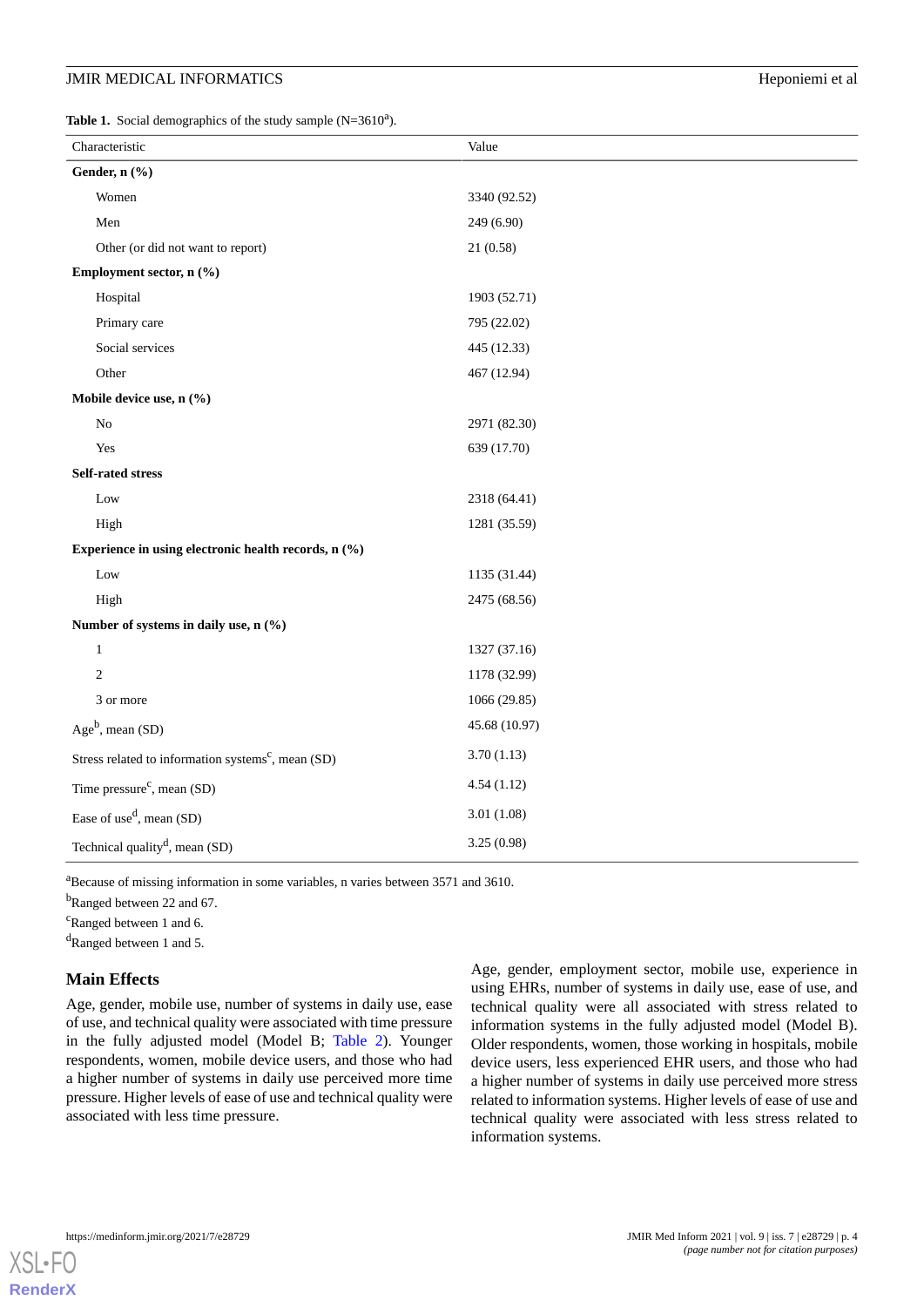<span id="page-3-0"></span>**Table 1.** Social demographics of the study sample  $(N=3610^a)$ .

| Characteristic                                                 | Value         |  |  |  |
|----------------------------------------------------------------|---------------|--|--|--|
| Gender, n (%)                                                  |               |  |  |  |
| Women                                                          | 3340 (92.52)  |  |  |  |
| Men                                                            | 249 (6.90)    |  |  |  |
| Other (or did not want to report)                              | 21(0.58)      |  |  |  |
| Employment sector, n (%)                                       |               |  |  |  |
| Hospital                                                       | 1903 (52.71)  |  |  |  |
| Primary care                                                   | 795 (22.02)   |  |  |  |
| Social services                                                | 445 (12.33)   |  |  |  |
| Other                                                          | 467 (12.94)   |  |  |  |
| Mobile device use, n (%)                                       |               |  |  |  |
| $\rm No$                                                       | 2971 (82.30)  |  |  |  |
| Yes                                                            | 639 (17.70)   |  |  |  |
| Self-rated stress                                              |               |  |  |  |
| Low                                                            | 2318 (64.41)  |  |  |  |
| High                                                           | 1281 (35.59)  |  |  |  |
| Experience in using electronic health records, n (%)           |               |  |  |  |
| Low                                                            | 1135 (31.44)  |  |  |  |
| High                                                           | 2475 (68.56)  |  |  |  |
| Number of systems in daily use, n (%)                          |               |  |  |  |
| $\mathbf{1}$                                                   | 1327 (37.16)  |  |  |  |
| $\overline{c}$                                                 | 1178 (32.99)  |  |  |  |
| 3 or more                                                      | 1066 (29.85)  |  |  |  |
| $Ageb$ , mean (SD)                                             | 45.68 (10.97) |  |  |  |
| Stress related to information systems <sup>c</sup> , mean (SD) | 3.70(1.13)    |  |  |  |
| Time pressure <sup>c</sup> , mean (SD)                         | 4.54(1.12)    |  |  |  |
| Ease of use <sup>d</sup> , mean $(SD)$                         | 3.01(1.08)    |  |  |  |
| Technical quality <sup>d</sup> , mean (SD)                     | 3.25(0.98)    |  |  |  |

<sup>a</sup>Because of missing information in some variables, n varies between 3571 and 3610.

<sup>b</sup>Ranged between 22 and 67.

<sup>c</sup>Ranged between 1 and 6.

<sup>d</sup>Ranged between 1 and 5.

#### **Main Effects**

Age, gender, mobile use, number of systems in daily use, ease of use, and technical quality were associated with time pressure in the fully adjusted model (Model B; [Table 2\)](#page-4-0). Younger respondents, women, mobile device users, and those who had a higher number of systems in daily use perceived more time pressure. Higher levels of ease of use and technical quality were associated with less time pressure.

Age, gender, employment sector, mobile use, experience in using EHRs, number of systems in daily use, ease of use, and technical quality were all associated with stress related to information systems in the fully adjusted model (Model B). Older respondents, women, those working in hospitals, mobile device users, less experienced EHR users, and those who had a higher number of systems in daily use perceived more stress related to information systems. Higher levels of ease of use and technical quality were associated with less stress related to information systems.

 $XS$ l • FC **[RenderX](http://www.renderx.com/)**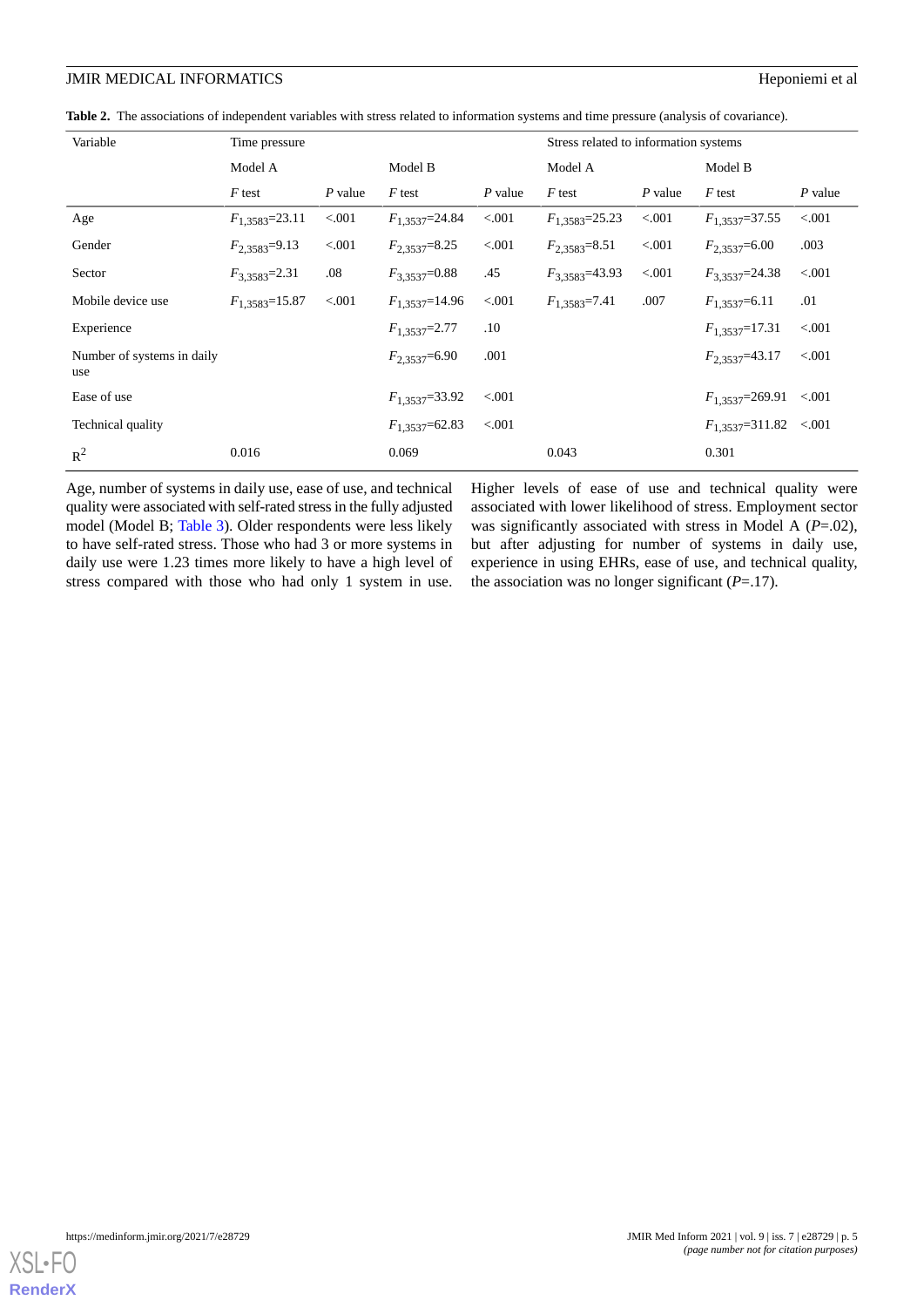#### **JMIR MEDICAL INFORMATICS** Heponiemi et al

<span id="page-4-0"></span>

|  |  |  |  | Table 2. The associations of independent variables with stress related to information systems and time pressure (analysis of covariance). |
|--|--|--|--|-------------------------------------------------------------------------------------------------------------------------------------------|
|--|--|--|--|-------------------------------------------------------------------------------------------------------------------------------------------|

| Variable                          | Time pressure       |           |                      |           | Stress related to information systems |           |                             |           |
|-----------------------------------|---------------------|-----------|----------------------|-----------|---------------------------------------|-----------|-----------------------------|-----------|
|                                   | Model A             |           | Model B              |           | Model A                               |           | Model B                     |           |
|                                   | F test              | $P$ value | $F$ test             | $P$ value | $F$ test                              | $P$ value | F test                      | $P$ value |
| Age                               | $F_{1,3583}=23.11$  | < 0.001   | $F_{1,3537}=24.84$   | < 0.001   | $F_{1,3583}=25.23$                    | < .001    | $F_{1,3537}=37.55$          | < 0.001   |
| Gender                            | $F_{2,3583}=9.13$   | < 0.001   | $F_{2,3537}=8.25$    | < 0.001   | $F_{2,3583}=8.51$                     | < .001    | $F_{2,3537}=6.00$           | .003      |
| Sector                            | $F_{3,3583}=2.31$   | .08       | $F_{3,3537}=0.88$    | .45       | $F_{3,3583}=43.93$                    | < 0.001   | $F_{3,3537} = 24.38$        | < 0.001   |
| Mobile device use                 | $F_{1,3583}$ =15.87 | < 0.001   | $F_{1,3537}$ =14.96  | < 0.001   | $F_{1,3583}=7.41$                     | .007      | $F_{1,3537}=6.11$           | .01       |
| Experience                        |                     |           | $F_{1,3537}=2.77$    | $.10\,$   |                                       |           | $F_{1,3537}$ =17.31         | < 0.001   |
| Number of systems in daily<br>use |                     |           | $F_{2,3537}=6.90$    | .001      |                                       |           | $F_{2,3537} = 43.17$        | < 0.001   |
| Ease of use                       |                     |           | $F_{1,3537}=33.92$   | < 0.001   |                                       |           | $F_{1,3537}=269.91$         | < 0.001   |
| Technical quality                 |                     |           | $F_{1,3537} = 62.83$ | < 0.001   |                                       |           | $F_{1,3537} = 311.82$ <.001 |           |
| $R^2$                             | 0.016               |           | 0.069                |           | 0.043                                 |           | 0.301                       |           |

Age, number of systems in daily use, ease of use, and technical quality were associated with self-rated stress in the fully adjusted model (Model B; [Table 3](#page-5-0)). Older respondents were less likely to have self-rated stress. Those who had 3 or more systems in daily use were 1.23 times more likely to have a high level of stress compared with those who had only 1 system in use.

Higher levels of ease of use and technical quality were associated with lower likelihood of stress. Employment sector was significantly associated with stress in Model A (*P*=.02), but after adjusting for number of systems in daily use, experience in using EHRs, ease of use, and technical quality, the association was no longer significant  $(P=.17)$ .

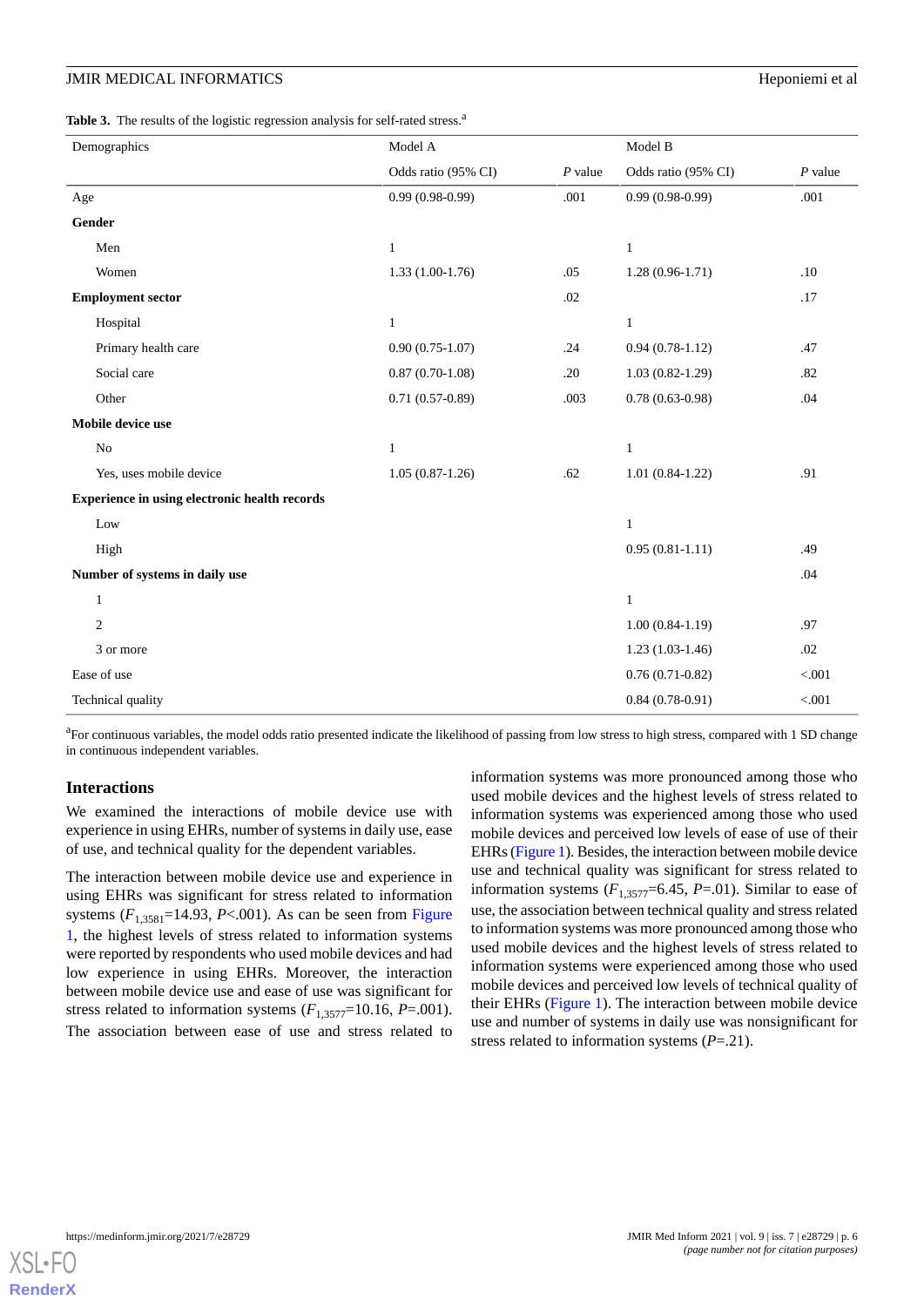<span id="page-5-0"></span>

| Demographics                                  | Model A             |           | Model B             |           |
|-----------------------------------------------|---------------------|-----------|---------------------|-----------|
|                                               | Odds ratio (95% CI) | $P$ value | Odds ratio (95% CI) | $P$ value |
| Age                                           | $0.99(0.98-0.99)$   | .001      | $0.99(0.98-0.99)$   | .001      |
| Gender                                        |                     |           |                     |           |
| Men                                           | $\mathbf{1}$        |           | $\mathbf{1}$        |           |
| Women                                         | $1.33(1.00-1.76)$   | .05       | $1.28(0.96-1.71)$   | .10       |
| <b>Employment sector</b>                      |                     | .02       |                     | .17       |
| Hospital                                      | $\mathbf{1}$        |           | $\mathbf{1}$        |           |
| Primary health care                           | $0.90(0.75-1.07)$   | .24       | $0.94(0.78-1.12)$   | .47       |
| Social care                                   | $0.87(0.70-1.08)$   | .20       | $1.03(0.82 - 1.29)$ | .82       |
| Other                                         | $0.71(0.57-0.89)$   | .003      | $0.78(0.63-0.98)$   | .04       |
| Mobile device use                             |                     |           |                     |           |
| $\rm No$                                      | $\mathbf{1}$        |           | $\mathbf{1}$        |           |
| Yes, uses mobile device                       | $1.05(0.87-1.26)$   | .62       | $1.01(0.84-1.22)$   | .91       |
| Experience in using electronic health records |                     |           |                     |           |
| Low                                           |                     |           | $\mathbf{1}$        |           |
| High                                          |                     |           | $0.95(0.81-1.11)$   | .49       |
| Number of systems in daily use                |                     |           |                     | .04       |
| $\mathbf{1}$                                  |                     |           | $\mathbf{1}$        |           |
| $\overline{c}$                                |                     |           | $1.00(0.84-1.19)$   | .97       |
| 3 or more                                     |                     |           | $1.23(1.03-1.46)$   | .02       |
| Ease of use                                   |                     |           | $0.76(0.71-0.82)$   | < 0.001   |
| Technical quality                             |                     |           | $0.84(0.78-0.91)$   | < 0.001   |

<sup>a</sup>For continuous variables, the model odds ratio presented indicate the likelihood of passing from low stress to high stress, compared with 1 SD change in continuous independent variables.

#### **Interactions**

We examined the interactions of mobile device use with experience in using EHRs, number of systems in daily use, ease of use, and technical quality for the dependent variables.

The interaction between mobile device use and experience in using EHRs was significant for stress related to information systems  $(F_{1,3581}=14.93, P<.001)$ . As can be seen from [Figure](#page-6-0) [1,](#page-6-0) the highest levels of stress related to information systems were reported by respondents who used mobile devices and had low experience in using EHRs. Moreover, the interaction between mobile device use and ease of use was significant for stress related to information systems  $(F_{1,3577}=10.16, P=.001)$ . The association between ease of use and stress related to

information systems was more pronounced among those who used mobile devices and the highest levels of stress related to information systems was experienced among those who used mobile devices and perceived low levels of ease of use of their EHRs [\(Figure 1](#page-6-0)). Besides, the interaction between mobile device use and technical quality was significant for stress related to information systems  $(F_{1,3577}=6.45, P=0.01)$ . Similar to ease of use, the association between technical quality and stress related to information systems was more pronounced among those who used mobile devices and the highest levels of stress related to information systems were experienced among those who used mobile devices and perceived low levels of technical quality of their EHRs [\(Figure 1](#page-6-0)). The interaction between mobile device use and number of systems in daily use was nonsignificant for stress related to information systems (*P*=.21).

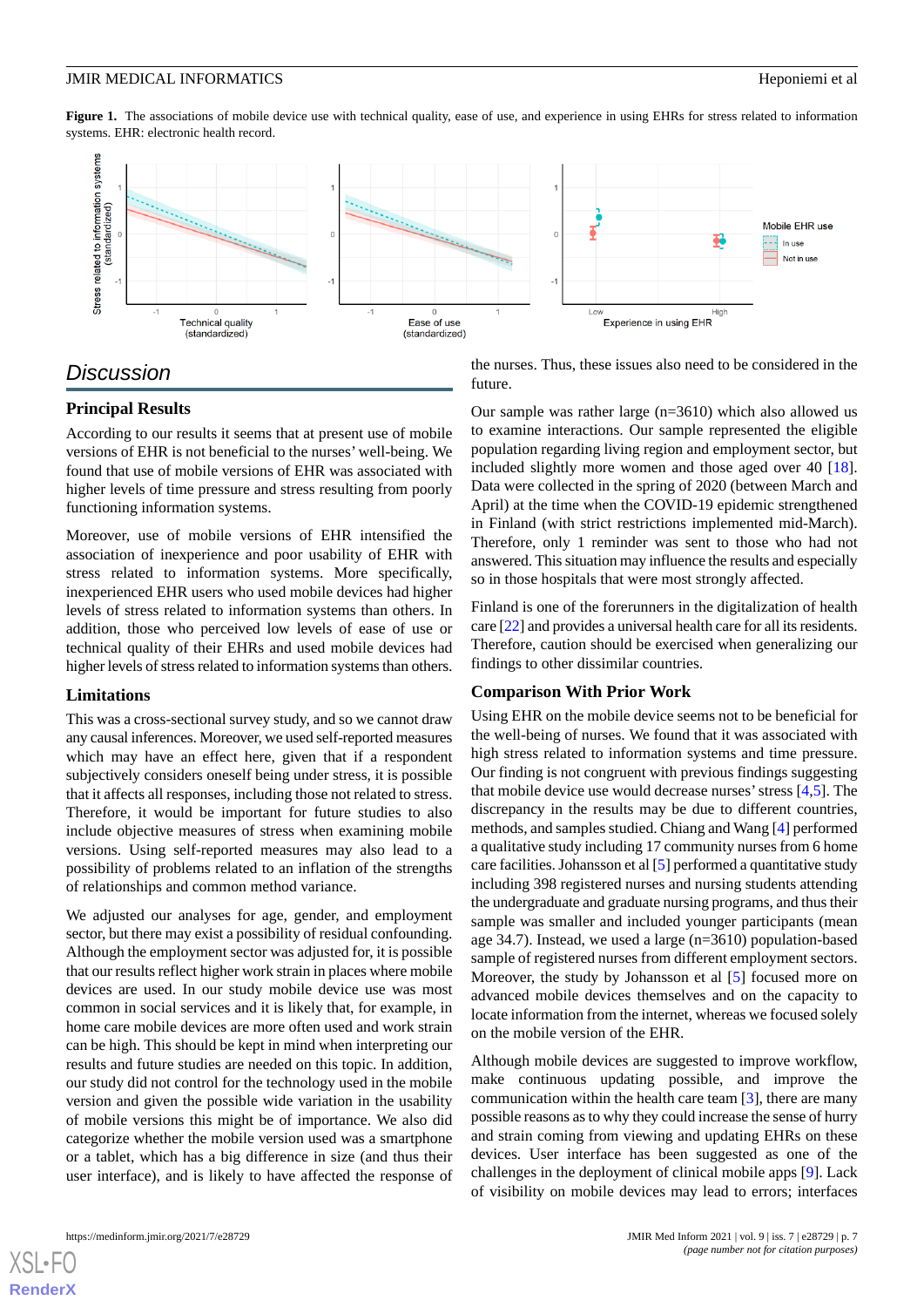<span id="page-6-0"></span>Figure 1. The associations of mobile device use with technical quality, ease of use, and experience in using EHRs for stress related to information systems. EHR: electronic health record.



## *Discussion*

#### **Principal Results**

According to our results it seems that at present use of mobile versions of EHR is not beneficial to the nurses' well-being. We found that use of mobile versions of EHR was associated with higher levels of time pressure and stress resulting from poorly functioning information systems.

Moreover, use of mobile versions of EHR intensified the association of inexperience and poor usability of EHR with stress related to information systems. More specifically, inexperienced EHR users who used mobile devices had higher levels of stress related to information systems than others. In addition, those who perceived low levels of ease of use or technical quality of their EHRs and used mobile devices had higher levels of stress related to information systems than others.

#### **Limitations**

This was a cross-sectional survey study, and so we cannot draw any causal inferences. Moreover, we used self-reported measures which may have an effect here, given that if a respondent subjectively considers oneself being under stress, it is possible that it affects all responses, including those not related to stress. Therefore, it would be important for future studies to also include objective measures of stress when examining mobile versions. Using self-reported measures may also lead to a possibility of problems related to an inflation of the strengths of relationships and common method variance.

We adjusted our analyses for age, gender, and employment sector, but there may exist a possibility of residual confounding. Although the employment sector was adjusted for, it is possible that our results reflect higher work strain in places where mobile devices are used. In our study mobile device use was most common in social services and it is likely that, for example, in home care mobile devices are more often used and work strain can be high. This should be kept in mind when interpreting our results and future studies are needed on this topic. In addition, our study did not control for the technology used in the mobile version and given the possible wide variation in the usability of mobile versions this might be of importance. We also did categorize whether the mobile version used was a smartphone or a tablet, which has a big difference in size (and thus their user interface), and is likely to have affected the response of the nurses. Thus, these issues also need to be considered in the future.

Our sample was rather large (n=3610) which also allowed us to examine interactions. Our sample represented the eligible population regarding living region and employment sector, but included slightly more women and those aged over 40 [[18\]](#page-8-14). Data were collected in the spring of 2020 (between March and April) at the time when the COVID-19 epidemic strengthened in Finland (with strict restrictions implemented mid-March). Therefore, only 1 reminder was sent to those who had not answered. This situation may influence the results and especially so in those hospitals that were most strongly affected.

Finland is one of the forerunners in the digitalization of health care [\[22\]](#page-8-19) and provides a universal health care for all its residents. Therefore, caution should be exercised when generalizing our findings to other dissimilar countries.

#### **Comparison With Prior Work**

Using EHR on the mobile device seems not to be beneficial for the well-being of nurses. We found that it was associated with high stress related to information systems and time pressure. Our finding is not congruent with previous findings suggesting that mobile device use would decrease nurses' stress  $[4,5]$  $[4,5]$  $[4,5]$  $[4,5]$ . The discrepancy in the results may be due to different countries, methods, and samples studied. Chiang and Wang [[4\]](#page-8-2) performed a qualitative study including 17 community nurses from 6 home care facilities. Johansson et al [[5\]](#page-8-3) performed a quantitative study including 398 registered nurses and nursing students attending the undergraduate and graduate nursing programs, and thus their sample was smaller and included younger participants (mean age 34.7). Instead, we used a large (n=3610) population-based sample of registered nurses from different employment sectors. Moreover, the study by Johansson et al [\[5](#page-8-3)] focused more on advanced mobile devices themselves and on the capacity to locate information from the internet, whereas we focused solely on the mobile version of the EHR.

Although mobile devices are suggested to improve workflow, make continuous updating possible, and improve the communication within the health care team [[3\]](#page-8-1), there are many possible reasons as to why they could increase the sense of hurry and strain coming from viewing and updating EHRs on these devices. User interface has been suggested as one of the challenges in the deployment of clinical mobile apps [[9](#page-8-7)]. Lack of visibility on mobile devices may lead to errors; interfaces

[XSL](http://www.w3.org/Style/XSL)•FO **[RenderX](http://www.renderx.com/)**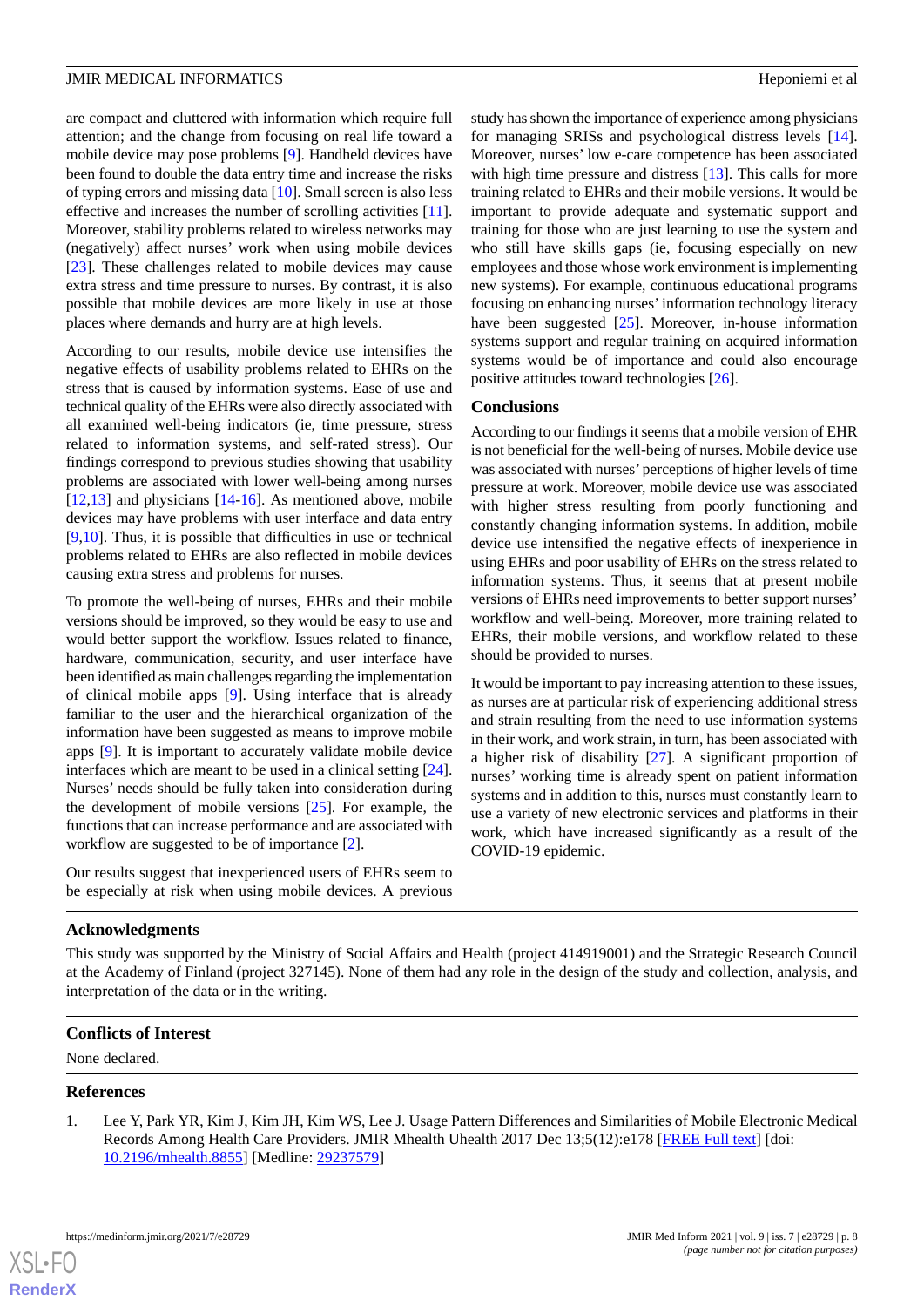are compact and cluttered with information which require full attention; and the change from focusing on real life toward a mobile device may pose problems [[9\]](#page-8-7). Handheld devices have been found to double the data entry time and increase the risks of typing errors and missing data [\[10](#page-8-8)]. Small screen is also less effective and increases the number of scrolling activities [[11\]](#page-8-9). Moreover, stability problems related to wireless networks may (negatively) affect nurses' work when using mobile devices [[23\]](#page-8-20). These challenges related to mobile devices may cause extra stress and time pressure to nurses. By contrast, it is also possible that mobile devices are more likely in use at those places where demands and hurry are at high levels.

According to our results, mobile device use intensifies the negative effects of usability problems related to EHRs on the stress that is caused by information systems. Ease of use and technical quality of the EHRs were also directly associated with all examined well-being indicators (ie, time pressure, stress related to information systems, and self-rated stress). Our findings correspond to previous studies showing that usability problems are associated with lower well-being among nurses [[12](#page-8-10)[,13](#page-8-11)] and physicians [[14-](#page-8-15)[16](#page-8-12)]. As mentioned above, mobile devices may have problems with user interface and data entry [[9](#page-8-7)[,10](#page-8-8)]. Thus, it is possible that difficulties in use or technical problems related to EHRs are also reflected in mobile devices causing extra stress and problems for nurses.

To promote the well-being of nurses, EHRs and their mobile versions should be improved, so they would be easy to use and would better support the workflow. Issues related to finance, hardware, communication, security, and user interface have been identified as main challenges regarding the implementation of clinical mobile apps [\[9](#page-8-7)]. Using interface that is already familiar to the user and the hierarchical organization of the information have been suggested as means to improve mobile apps [[9\]](#page-8-7). It is important to accurately validate mobile device interfaces which are meant to be used in a clinical setting [[24\]](#page-9-0). Nurses' needs should be fully taken into consideration during the development of mobile versions  $[25]$  $[25]$ . For example, the functions that can increase performance and are associated with workflow are suggested to be of importance [\[2](#page-8-0)].

Our results suggest that inexperienced users of EHRs seem to be especially at risk when using mobile devices. A previous

#### study has shown the importance of experience among physicians for managing SRISs and psychological distress levels [[14\]](#page-8-15). Moreover, nurses' low e-care competence has been associated with high time pressure and distress [\[13](#page-8-11)]. This calls for more training related to EHRs and their mobile versions. It would be important to provide adequate and systematic support and training for those who are just learning to use the system and who still have skills gaps (ie, focusing especially on new employees and those whose work environment is implementing new systems). For example, continuous educational programs focusing on enhancing nurses'information technology literacy have been suggested [[25\]](#page-9-1). Moreover, in-house information systems support and regular training on acquired information systems would be of importance and could also encourage positive attitudes toward technologies [\[26](#page-9-2)].

#### **Conclusions**

According to our findings it seems that a mobile version of EHR is not beneficial for the well-being of nurses. Mobile device use was associated with nurses'perceptions of higher levels of time pressure at work. Moreover, mobile device use was associated with higher stress resulting from poorly functioning and constantly changing information systems. In addition, mobile device use intensified the negative effects of inexperience in using EHRs and poor usability of EHRs on the stress related to information systems. Thus, it seems that at present mobile versions of EHRs need improvements to better support nurses' workflow and well-being. Moreover, more training related to EHRs, their mobile versions, and workflow related to these should be provided to nurses.

It would be important to pay increasing attention to these issues, as nurses are at particular risk of experiencing additional stress and strain resulting from the need to use information systems in their work, and work strain, in turn, has been associated with a higher risk of disability [[27\]](#page-9-3). A significant proportion of nurses' working time is already spent on patient information systems and in addition to this, nurses must constantly learn to use a variety of new electronic services and platforms in their work, which have increased significantly as a result of the COVID-19 epidemic.

#### **Acknowledgments**

This study was supported by the Ministry of Social Affairs and Health (project 414919001) and the Strategic Research Council at the Academy of Finland (project 327145). None of them had any role in the design of the study and collection, analysis, and interpretation of the data or in the writing.

#### <span id="page-7-0"></span>**Conflicts of Interest**

None declared.

#### **References**

[XSL](http://www.w3.org/Style/XSL)•FO **[RenderX](http://www.renderx.com/)**

1. Lee Y, Park YR, Kim J, Kim JH, Kim WS, Lee J. Usage Pattern Differences and Similarities of Mobile Electronic Medical Records Among Health Care Providers. JMIR Mhealth Uhealth 2017 Dec 13;5(12):e178 [[FREE Full text](https://mhealth.jmir.org/2017/12/e178/)] [doi: [10.2196/mhealth.8855](http://dx.doi.org/10.2196/mhealth.8855)] [Medline: [29237579](http://www.ncbi.nlm.nih.gov/entrez/query.fcgi?cmd=Retrieve&db=PubMed&list_uids=29237579&dopt=Abstract)]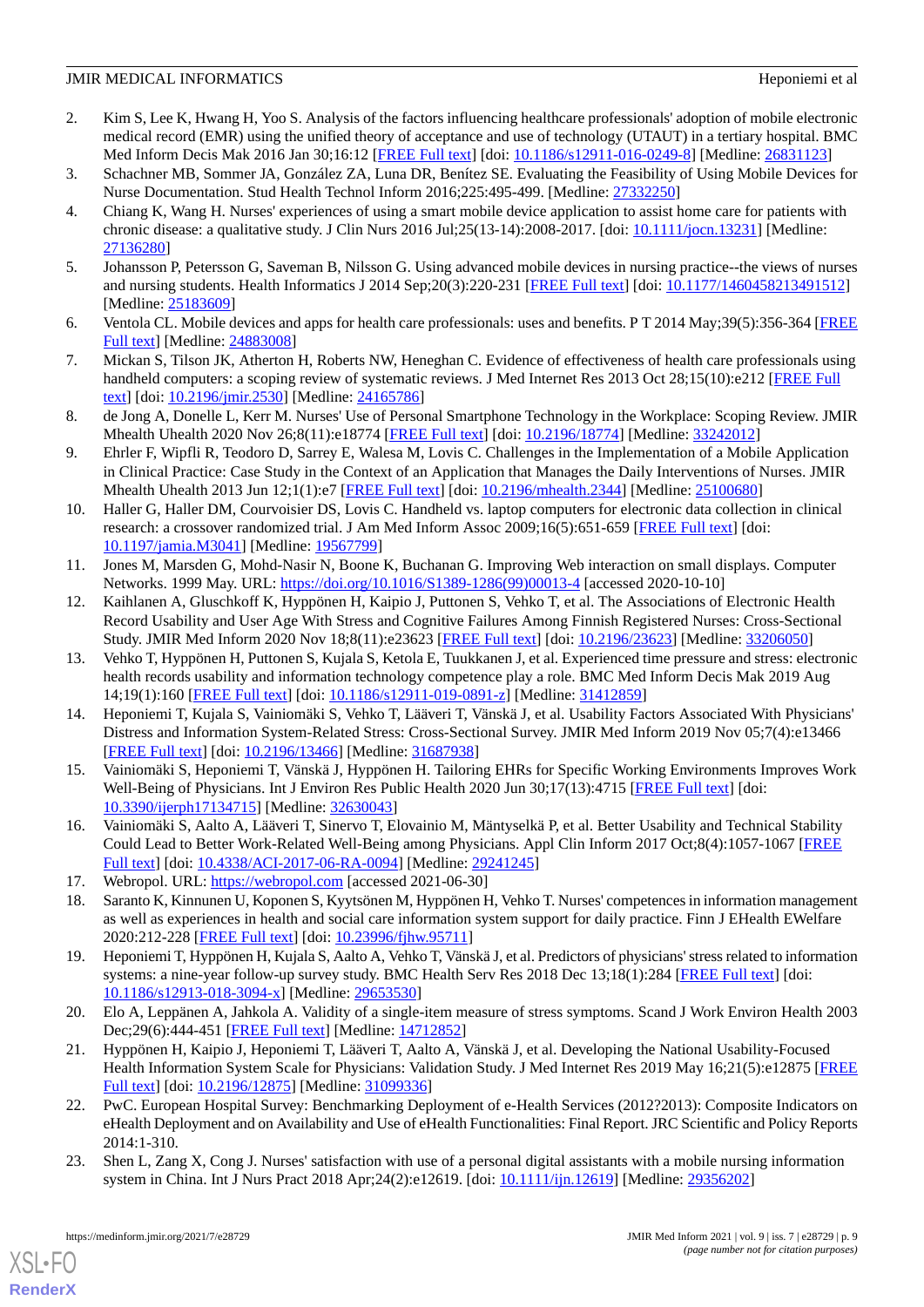- <span id="page-8-0"></span>2. Kim S, Lee K, Hwang H, Yoo S. Analysis of the factors influencing healthcare professionals' adoption of mobile electronic medical record (EMR) using the unified theory of acceptance and use of technology (UTAUT) in a tertiary hospital. BMC Med Inform Decis Mak 2016 Jan 30;16:12 [\[FREE Full text\]](https://bmcmedinformdecismak.biomedcentral.com/articles/10.1186/s12911-016-0249-8) [doi: [10.1186/s12911-016-0249-8](http://dx.doi.org/10.1186/s12911-016-0249-8)] [Medline: [26831123](http://www.ncbi.nlm.nih.gov/entrez/query.fcgi?cmd=Retrieve&db=PubMed&list_uids=26831123&dopt=Abstract)]
- <span id="page-8-2"></span><span id="page-8-1"></span>3. Schachner MB, Sommer JA, González ZA, Luna DR, Benítez SE. Evaluating the Feasibility of Using Mobile Devices for Nurse Documentation. Stud Health Technol Inform 2016;225:495-499. [Medline: [27332250](http://www.ncbi.nlm.nih.gov/entrez/query.fcgi?cmd=Retrieve&db=PubMed&list_uids=27332250&dopt=Abstract)]
- 4. Chiang K, Wang H. Nurses' experiences of using a smart mobile device application to assist home care for patients with chronic disease: a qualitative study. J Clin Nurs 2016 Jul;25(13-14):2008-2017. [doi: [10.1111/jocn.13231\]](http://dx.doi.org/10.1111/jocn.13231) [Medline: [27136280](http://www.ncbi.nlm.nih.gov/entrez/query.fcgi?cmd=Retrieve&db=PubMed&list_uids=27136280&dopt=Abstract)]
- <span id="page-8-4"></span><span id="page-8-3"></span>5. Johansson P, Petersson G, Saveman B, Nilsson G. Using advanced mobile devices in nursing practice--the views of nurses and nursing students. Health Informatics J 2014 Sep;20(3):220-231 [[FREE Full text](https://journals.sagepub.com/doi/10.1177/1460458213491512?url_ver=Z39.88-2003&rfr_id=ori:rid:crossref.org&rfr_dat=cr_pub%3dpubmed)] [doi: [10.1177/1460458213491512\]](http://dx.doi.org/10.1177/1460458213491512) [Medline: [25183609](http://www.ncbi.nlm.nih.gov/entrez/query.fcgi?cmd=Retrieve&db=PubMed&list_uids=25183609&dopt=Abstract)]
- <span id="page-8-5"></span>6. Ventola CL. Mobile devices and apps for health care professionals: uses and benefits. P T 2014 May;39(5):356-364 [\[FREE](http://europepmc.org/abstract/MED/24883008) [Full text\]](http://europepmc.org/abstract/MED/24883008) [Medline: [24883008\]](http://www.ncbi.nlm.nih.gov/entrez/query.fcgi?cmd=Retrieve&db=PubMed&list_uids=24883008&dopt=Abstract)
- <span id="page-8-6"></span>7. Mickan S, Tilson JK, Atherton H, Roberts NW, Heneghan C. Evidence of effectiveness of health care professionals using handheld computers: a scoping review of systematic reviews. J Med Internet Res 2013 Oct 28;15(10):e212 [[FREE Full](https://www.jmir.org/2013/10/e212/) [text](https://www.jmir.org/2013/10/e212/)] [doi: [10.2196/jmir.2530](http://dx.doi.org/10.2196/jmir.2530)] [Medline: [24165786](http://www.ncbi.nlm.nih.gov/entrez/query.fcgi?cmd=Retrieve&db=PubMed&list_uids=24165786&dopt=Abstract)]
- <span id="page-8-7"></span>8. de Jong A, Donelle L, Kerr M. Nurses' Use of Personal Smartphone Technology in the Workplace: Scoping Review. JMIR Mhealth Uhealth 2020 Nov 26;8(11):e18774 [\[FREE Full text\]](https://mhealth.jmir.org/2020/11/e18774/) [doi: [10.2196/18774\]](http://dx.doi.org/10.2196/18774) [Medline: [33242012\]](http://www.ncbi.nlm.nih.gov/entrez/query.fcgi?cmd=Retrieve&db=PubMed&list_uids=33242012&dopt=Abstract)
- <span id="page-8-8"></span>9. Ehrler F, Wipfli R, Teodoro D, Sarrey E, Walesa M, Lovis C. Challenges in the Implementation of a Mobile Application in Clinical Practice: Case Study in the Context of an Application that Manages the Daily Interventions of Nurses. JMIR Mhealth Uhealth 2013 Jun 12;1(1):e7 [[FREE Full text](http://mhealth.jmir.org/2013/1/e7/)] [doi: [10.2196/mhealth.2344](http://dx.doi.org/10.2196/mhealth.2344)] [Medline: [25100680](http://www.ncbi.nlm.nih.gov/entrez/query.fcgi?cmd=Retrieve&db=PubMed&list_uids=25100680&dopt=Abstract)]
- <span id="page-8-9"></span>10. Haller G, Haller DM, Courvoisier DS, Lovis C. Handheld vs. laptop computers for electronic data collection in clinical research: a crossover randomized trial. J Am Med Inform Assoc 2009;16(5):651-659 [[FREE Full text](http://jamia.oxfordjournals.org/cgi/pmidlookup?view=long&pmid=19567799)] [doi: [10.1197/jamia.M3041](http://dx.doi.org/10.1197/jamia.M3041)] [Medline: [19567799](http://www.ncbi.nlm.nih.gov/entrez/query.fcgi?cmd=Retrieve&db=PubMed&list_uids=19567799&dopt=Abstract)]
- <span id="page-8-10"></span>11. Jones M, Marsden G, Mohd-Nasir N, Boone K, Buchanan G. Improving Web interaction on small displays. Computer Networks. 1999 May. URL: [https://doi.org/10.1016/S1389-1286\(99\)00013-4](https://doi.org/10.1016/S1389-1286(99)00013-4) [accessed 2020-10-10]
- <span id="page-8-11"></span>12. Kaihlanen A, Gluschkoff K, Hyppönen H, Kaipio J, Puttonen S, Vehko T, et al. The Associations of Electronic Health Record Usability and User Age With Stress and Cognitive Failures Among Finnish Registered Nurses: Cross-Sectional Study. JMIR Med Inform 2020 Nov 18;8(11):e23623 [\[FREE Full text\]](https://medinform.jmir.org/2020/11/e23623/) [doi: [10.2196/23623](http://dx.doi.org/10.2196/23623)] [Medline: [33206050\]](http://www.ncbi.nlm.nih.gov/entrez/query.fcgi?cmd=Retrieve&db=PubMed&list_uids=33206050&dopt=Abstract)
- <span id="page-8-15"></span>13. Vehko T, Hyppönen H, Puttonen S, Kujala S, Ketola E, Tuukkanen J, et al. Experienced time pressure and stress: electronic health records usability and information technology competence play a role. BMC Med Inform Decis Mak 2019 Aug 14;19(1):160 [[FREE Full text\]](https://bmcmedinformdecismak.biomedcentral.com/articles/10.1186/s12911-019-0891-z) [doi: [10.1186/s12911-019-0891-z\]](http://dx.doi.org/10.1186/s12911-019-0891-z) [Medline: [31412859\]](http://www.ncbi.nlm.nih.gov/entrez/query.fcgi?cmd=Retrieve&db=PubMed&list_uids=31412859&dopt=Abstract)
- 14. Heponiemi T, Kujala S, Vainiomäki S, Vehko T, Lääveri T, Vänskä J, et al. Usability Factors Associated With Physicians' Distress and Information System-Related Stress: Cross-Sectional Survey. JMIR Med Inform 2019 Nov 05;7(4):e13466 [[FREE Full text](https://medinform.jmir.org/2019/4/e13466/)] [doi: [10.2196/13466\]](http://dx.doi.org/10.2196/13466) [Medline: [31687938\]](http://www.ncbi.nlm.nih.gov/entrez/query.fcgi?cmd=Retrieve&db=PubMed&list_uids=31687938&dopt=Abstract)
- <span id="page-8-13"></span><span id="page-8-12"></span>15. Vainiomäki S, Heponiemi T, Vänskä J, Hyppönen H. Tailoring EHRs for Specific Working Environments Improves Work Well-Being of Physicians. Int J Environ Res Public Health 2020 Jun 30;17(13):4715 [\[FREE Full text\]](https://www.mdpi.com/resolver?pii=ijerph17134715) [doi: [10.3390/ijerph17134715](http://dx.doi.org/10.3390/ijerph17134715)] [Medline: [32630043\]](http://www.ncbi.nlm.nih.gov/entrez/query.fcgi?cmd=Retrieve&db=PubMed&list_uids=32630043&dopt=Abstract)
- <span id="page-8-14"></span>16. Vainiomäki S, Aalto A, Lääveri T, Sinervo T, Elovainio M, Mäntyselkä P, et al. Better Usability and Technical Stability Could Lead to Better Work-Related Well-Being among Physicians. Appl Clin Inform 2017 Oct;8(4):1057-1067 [\[FREE](http://www.thieme-connect.com/DOI/DOI?10.4338/ACI-2017-06-RA-0094) [Full text\]](http://www.thieme-connect.com/DOI/DOI?10.4338/ACI-2017-06-RA-0094) [doi: [10.4338/ACI-2017-06-RA-0094](http://dx.doi.org/10.4338/ACI-2017-06-RA-0094)] [Medline: [29241245](http://www.ncbi.nlm.nih.gov/entrez/query.fcgi?cmd=Retrieve&db=PubMed&list_uids=29241245&dopt=Abstract)]
- <span id="page-8-16"></span>17. Webropol. URL: <https://webropol.com> [accessed 2021-06-30]
- <span id="page-8-17"></span>18. Saranto K, Kinnunen U, Koponen S, Kyytsönen M, Hyppönen H, Vehko T. Nurses' competences in information management as well as experiences in health and social care information system support for daily practice. Finn J EHealth EWelfare 2020:212-228 [\[FREE Full text\]](https://doi.org/10.23996/fjhw.95711) [doi: [10.23996/fjhw.95711\]](http://dx.doi.org/10.23996/fjhw.95711)
- <span id="page-8-18"></span>19. Heponiemi T, Hyppönen H, Kujala S, Aalto A, Vehko T, Vänskä J, et al. Predictors of physicians' stress related to information systems: a nine-year follow-up survey study. BMC Health Serv Res 2018 Dec 13;18(1):284 [[FREE Full text](https://bmchealthservres.biomedcentral.com/articles/10.1186/s12913-018-3094-x)] [doi: [10.1186/s12913-018-3094-x\]](http://dx.doi.org/10.1186/s12913-018-3094-x) [Medline: [29653530](http://www.ncbi.nlm.nih.gov/entrez/query.fcgi?cmd=Retrieve&db=PubMed&list_uids=29653530&dopt=Abstract)]
- <span id="page-8-19"></span>20. Elo A, Leppänen A, Jahkola A. Validity of a single-item measure of stress symptoms. Scand J Work Environ Health 2003 Dec; 29(6): 444-451 [\[FREE Full text](http://www.sjweh.fi/show_abstract.php?abstract_id=752)] [Medline: [14712852](http://www.ncbi.nlm.nih.gov/entrez/query.fcgi?cmd=Retrieve&db=PubMed&list_uids=14712852&dopt=Abstract)]
- <span id="page-8-20"></span>21. Hyppönen H, Kaipio J, Heponiemi T, Lääveri T, Aalto A, Vänskä J, et al. Developing the National Usability-Focused Health Information System Scale for Physicians: Validation Study. J Med Internet Res 2019 May 16;21(5):e12875 [\[FREE](https://www.jmir.org/2019/5/e12875/) [Full text\]](https://www.jmir.org/2019/5/e12875/) [doi: [10.2196/12875\]](http://dx.doi.org/10.2196/12875) [Medline: [31099336](http://www.ncbi.nlm.nih.gov/entrez/query.fcgi?cmd=Retrieve&db=PubMed&list_uids=31099336&dopt=Abstract)]
- 22. PwC. European Hospital Survey: Benchmarking Deployment of e-Health Services (2012?2013): Composite Indicators on eHealth Deployment and on Availability and Use of eHealth Functionalities: Final Report. JRC Scientific and Policy Reports 2014:1-310.
- 23. Shen L, Zang X, Cong J. Nurses' satisfaction with use of a personal digital assistants with a mobile nursing information system in China. Int J Nurs Pract 2018 Apr;24(2):e12619. [doi: [10.1111/ijn.12619](http://dx.doi.org/10.1111/ijn.12619)] [Medline: [29356202](http://www.ncbi.nlm.nih.gov/entrez/query.fcgi?cmd=Retrieve&db=PubMed&list_uids=29356202&dopt=Abstract)]

[XSL](http://www.w3.org/Style/XSL)•FO **[RenderX](http://www.renderx.com/)**